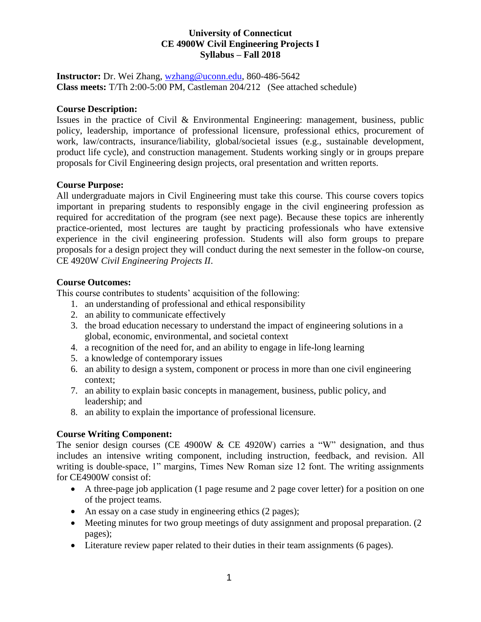#### **University of Connecticut CE 4900W Civil Engineering Projects I Syllabus – Fall 2018**

**Instructor:** Dr. Wei Zhang, [wzhang@uconn.edu,](mailto:wzhang@uconn.edu) 860-486-5642 **Class meets:** T/Th 2:00-5:00 PM, Castleman 204/212 (See attached schedule)

#### **Course Description:**

Issues in the practice of Civil & Environmental Engineering: management, business, public policy, leadership, importance of professional licensure, professional ethics, procurement of work, law/contracts, insurance/liability, global/societal issues (e.g., sustainable development, product life cycle), and construction management. Students working singly or in groups prepare proposals for Civil Engineering design projects, oral presentation and written reports.

#### **Course Purpose:**

All undergraduate majors in Civil Engineering must take this course. This course covers topics important in preparing students to responsibly engage in the civil engineering profession as required for accreditation of the program (see next page). Because these topics are inherently practice-oriented, most lectures are taught by practicing professionals who have extensive experience in the civil engineering profession. Students will also form groups to prepare proposals for a design project they will conduct during the next semester in the follow-on course, CE 4920W *Civil Engineering Projects II*.

## **Course Outcomes:**

This course contributes to students' acquisition of the following:

- 1. an understanding of professional and ethical responsibility
- 2. an ability to communicate effectively
- 3. the broad education necessary to understand the impact of engineering solutions in a global, economic, environmental, and societal context
- 4. a recognition of the need for, and an ability to engage in life-long learning
- 5. a knowledge of contemporary issues
- 6. an ability to design a system, component or process in more than one civil engineering context;
- 7. an ability to explain basic concepts in management, business, public policy, and leadership; and
- 8. an ability to explain the importance of professional licensure.

## **Course Writing Component:**

The senior design courses (CE 4900W  $&$  CE 4920W) carries a "W" designation, and thus includes an intensive writing component, including instruction, feedback, and revision. All writing is double-space, 1" margins, Times New Roman size 12 font. The writing assignments for CE4900W consist of:

- A three-page job application (1 page resume and 2 page cover letter) for a position on one of the project teams.
- An essay on a case study in engineering ethics (2 pages);
- Meeting minutes for two group meetings of duty assignment and proposal preparation. (2) pages);
- Literature review paper related to their duties in their team assignments (6 pages).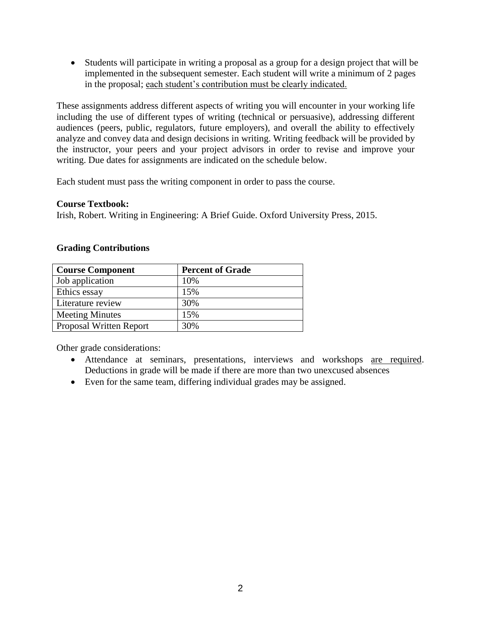Students will participate in writing a proposal as a group for a design project that will be implemented in the subsequent semester. Each student will write a minimum of 2 pages in the proposal; each student's contribution must be clearly indicated.

These assignments address different aspects of writing you will encounter in your working life including the use of different types of writing (technical or persuasive), addressing different audiences (peers, public, regulators, future employers), and overall the ability to effectively analyze and convey data and design decisions in writing. Writing feedback will be provided by the instructor, your peers and your project advisors in order to revise and improve your writing. Due dates for assignments are indicated on the schedule below.

Each student must pass the writing component in order to pass the course.

#### **Course Textbook:**

Irish, Robert. Writing in Engineering: A Brief Guide. Oxford University Press, 2015.

#### **Grading Contributions**

| <b>Course Component</b> | <b>Percent of Grade</b> |
|-------------------------|-------------------------|
| Job application         | 10%                     |
| Ethics essay            | 15%                     |
| Literature review       | 30%                     |
| <b>Meeting Minutes</b>  | 15%                     |
| Proposal Written Report | 30%                     |

Other grade considerations:

- Attendance at seminars, presentations, interviews and workshops are required. Deductions in grade will be made if there are more than two unexcused absences
- Even for the same team, differing individual grades may be assigned.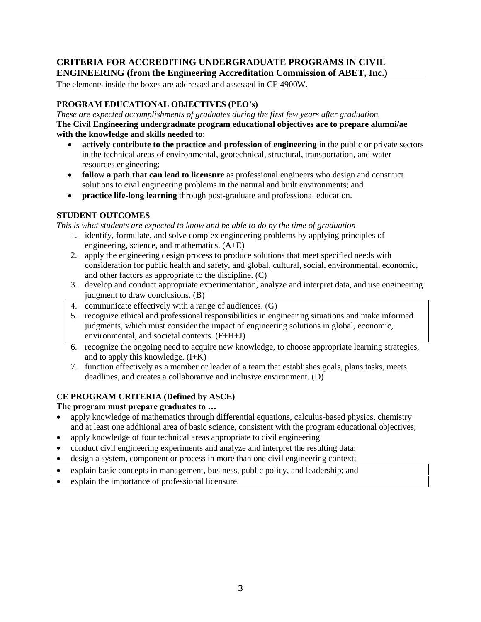## **CRITERIA FOR ACCREDITING UNDERGRADUATE PROGRAMS IN CIVIL ENGINEERING (from the Engineering Accreditation Commission of ABET, Inc.)**

The elements inside the boxes are addressed and assessed in CE 4900W.

#### **PROGRAM EDUCATIONAL OBJECTIVES (PEO's)**

*These are expected accomplishments of graduates during the first few years after graduation.* **The Civil Engineering undergraduate program educational objectives are to prepare alumni/ae with the knowledge and skills needed to**:

- **actively contribute to the practice and profession of engineering** in the public or private sectors in the technical areas of environmental, geotechnical, structural, transportation, and water resources engineering;
- **follow a path that can lead to licensure** as professional engineers who design and construct solutions to civil engineering problems in the natural and built environments; and
- **practice life-long learning** through post-graduate and professional education.

## **STUDENT OUTCOMES**

*This is what students are expected to know and be able to do by the time of graduation*

- 1. identify, formulate, and solve complex engineering problems by applying principles of engineering, science, and mathematics. (A+E)
- 2. apply the engineering design process to produce solutions that meet specified needs with consideration for public health and safety, and global, cultural, social, environmental, economic, and other factors as appropriate to the discipline. (C)
- 3. develop and conduct appropriate experimentation, analyze and interpret data, and use engineering judgment to draw conclusions. (B)
- 4. communicate effectively with a range of audiences. (G)
- 5. recognize ethical and professional responsibilities in engineering situations and make informed judgments, which must consider the impact of engineering solutions in global, economic, environmental, and societal contexts. (F+H+J)
- 6. recognize the ongoing need to acquire new knowledge, to choose appropriate learning strategies, and to apply this knowledge. (I+K)
- 7. function effectively as a member or leader of a team that establishes goals, plans tasks, meets deadlines, and creates a collaborative and inclusive environment. (D)

## **CE PROGRAM CRITERIA (Defined by ASCE)**

**The program must prepare graduates to …**

- apply knowledge of mathematics through differential equations, calculus-based physics, chemistry and at least one additional area of basic science, consistent with the program educational objectives;
- apply knowledge of four technical areas appropriate to civil engineering
- conduct civil engineering experiments and analyze and interpret the resulting data;
- design a system, component or process in more than one civil engineering context;
- explain basic concepts in management, business, public policy, and leadership; and
- explain the importance of professional licensure.